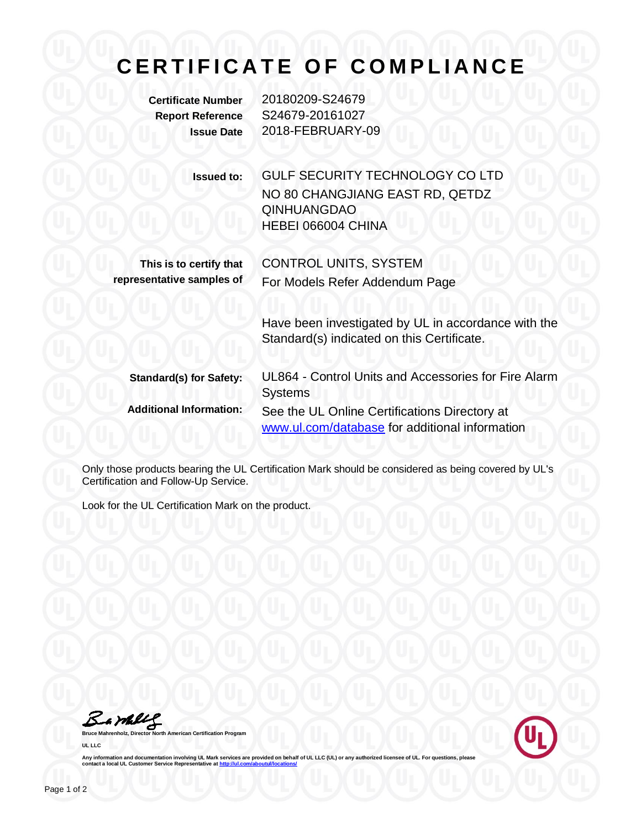## **CERTIFICATE OF COMPLIANCE**

**Certificate Number** 20180209-S24679 **Report Reference** S24679-20161027 **Issue Date** 2018-FEBRUARY-09

> **Issued to:** GULF SECURITY TECHNOLOGY CO LTD NO 80 CHANGJIANG EAST RD, QETDZ QINHUANGDAO HEBEI 066004 CHINA

**This is to certify that representative samples of** CONTROL UNITS, SYSTEM For Models Refer Addendum Page

> Have been investigated by UL in accordance with the Standard(s) indicated on this Certificate.

**Standard(s) for Safety:** UL864 - Control Units and Accessories for Fire Alarm Systems **Additional Information:** See the UL Online Certifications Directory at [www.ul.com/database](http://www.ul.com/database) for additional information

Only those products bearing the UL Certification Mark should be considered as being covered by UL's Certification and Follow-Up Service.

Look for the UL Certification Mark on the product.

Barkey

**Rrth American Certification Program UL LLC**



Any information and documentation involving UL Mark services are provided on behalf of UL LLC (UL) or any authorized licensee of UL. For questions, please<br>contact a local UL Customer Service Representative at <u>http://ul.co</u>